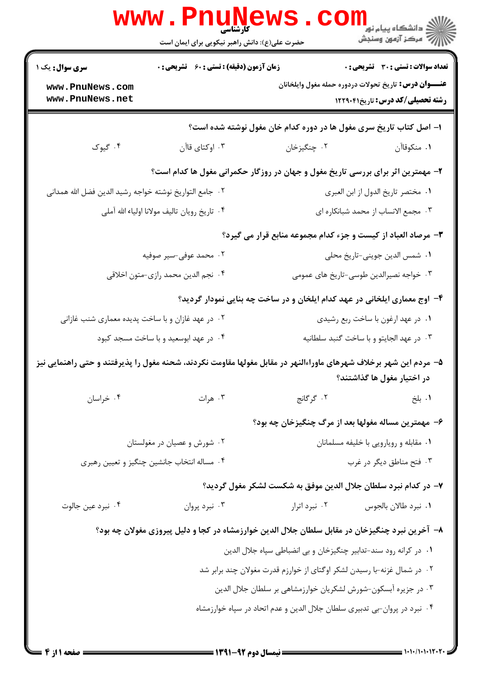|                                                                           | <b>WWW.Pnunew</b><br>حضرت علی(ع): دانش راهبر نیکویی برای ایمان است |                                                                                                                   |                                          |  |
|---------------------------------------------------------------------------|--------------------------------------------------------------------|-------------------------------------------------------------------------------------------------------------------|------------------------------------------|--|
| <b>سری سوال :</b> یک ۱                                                    | زمان آزمون (دقیقه) : تستی : 60 گشریحی : 0                          |                                                                                                                   | تعداد سوالات : تستي : 30 ٪ تشريحي : 0    |  |
| www.PnuNews.com<br>www.PnuNews.net                                        |                                                                    | <b>عنـــوان درس:</b> تاریخ تحولات دردوره حمله مغول وایلخانان                                                      | <b>رشته تحصیلی/کد درس: تاریخ122911</b> 1 |  |
|                                                                           |                                                                    | ا– اصل کتاب تاریخ سری مغول ها در دوره کدام خان مغول نوشته شده است؟                                                |                                          |  |
| ۰۴ گیوک                                                                   | ۰۳ اوکتای قاآن                                                     | ٠٢ چنگيزخان                                                                                                       | ٠١. منكوقاآن                             |  |
|                                                                           |                                                                    | ۲- مهمترین اثر برای بررسی تاریخ مغول و جهان در روزگار حکمرانی مغول ها کدام است؟                                   |                                          |  |
| ٠٢ جامع التواريخ نوشته خواجه رشيد الدين فضل الله همداني                   |                                                                    | ٠١. مختصر تاريخ الدول از ابن العبرى                                                                               |                                          |  |
| ۴. تاريخ رويان تاليف مولانا اولياء الله آملي                              |                                                                    | ۰۳ مجمع الانساب از محمد شبانکاره ای                                                                               |                                          |  |
|                                                                           |                                                                    | ۳- مرصاد العباد از کیست و جزء کدام مجموعه منابع قرار می گیرد؟                                                     |                                          |  |
|                                                                           | ۰۲ محمد عوفی-سیر صوفیه                                             | ٠١ شمس الدين جويني-تاريخ محلي                                                                                     |                                          |  |
|                                                                           | ۰۴ نجم الدين محمد رازي-متون اخلاقي                                 | ۰۳ خواجه نصیرالدین طوسی-تاریخ های عمومی                                                                           |                                          |  |
|                                                                           |                                                                    | ۴- اوج معماری ایلخانی در عهد کدام ایلخان و در ساخت چه بنایی نمودار گردید؟                                         |                                          |  |
| ۰۲ در عهد غازان و با ساخت پدیده معماری شنب غازانی                         |                                                                    | ۰۱ در عهد ارغون با ساخت ربع رشیدي                                                                                 |                                          |  |
| ۰۴ در عهد ابوسعید و با ساخت مسجد کبود                                     |                                                                    | ٠٣ در عهد الجايتو و با ساخت كنبد سلطانيه                                                                          |                                          |  |
|                                                                           |                                                                    | ۵– مردم این شهر برخلاف شهرهای ماوراءالنهر در مقابل مغولها مقاومت نکردند، شحنه مغول را پذیرفتند و حتی راهنمایی نیز | در اختیار مغول ها گذاشتند؟               |  |
| ۰۴ خراسان                                                                 | ۰۳ هرات                                                            | ٢. گرگانج                                                                                                         | ۰۱. بلخ                                  |  |
|                                                                           |                                                                    | ۶– مهمترین مساله مغولها بعد از مرگ چنگیزخان چه بود؟                                                               |                                          |  |
| ۰۲ شورش و عصیان در مغولستان                                               |                                                                    | ٠١ مقابله و رويارويي با خليفه مسلمانان                                                                            |                                          |  |
|                                                                           | ۰۴ مساله انتخاب جانشین چنگیز و تعیین رهبری                         | ۰۳ فتح مناطق دیگر در غرب                                                                                          |                                          |  |
|                                                                           |                                                                    | ۷– در کدام نبرد سلطان جلال الدین موفق به شکست لشکر مغول گردید؟                                                    |                                          |  |
| ۰۴ نبرد عين جالوت                                                         | ۰۳ نبرد پروان                                                      | ۰۲ نبرد اترار                                                                                                     | ٠١ نبرد طالان بالجوس                     |  |
|                                                                           |                                                                    | ۸– آخرین نبرد چنگیزخان در مقابل سلطان جلال الدین خوارزمشاه در کجا و دلیل پیروزی مغولان چه بود؟                    |                                          |  |
| ٠١ در كرانه رود سند-تدابير چنگيزخان و بي انضباطي سپاه جلال الدين          |                                                                    |                                                                                                                   |                                          |  |
| ۰۲ در شمال غزنه-با رسیدن لشکر اوگتای از خوارزم قدرت مغولان چند برابر شد   |                                                                    |                                                                                                                   |                                          |  |
| ۰۳ در جزیره آبسکون-شورش لشکریان خوارزمشاهی بر سلطان جلال الدین            |                                                                    |                                                                                                                   |                                          |  |
| ۰۴ نبرد در پروان-بی تدبیری سلطان جلال الدین و عدم اتحاد در سپاه خوارزمشاه |                                                                    |                                                                                                                   |                                          |  |
|                                                                           |                                                                    |                                                                                                                   |                                          |  |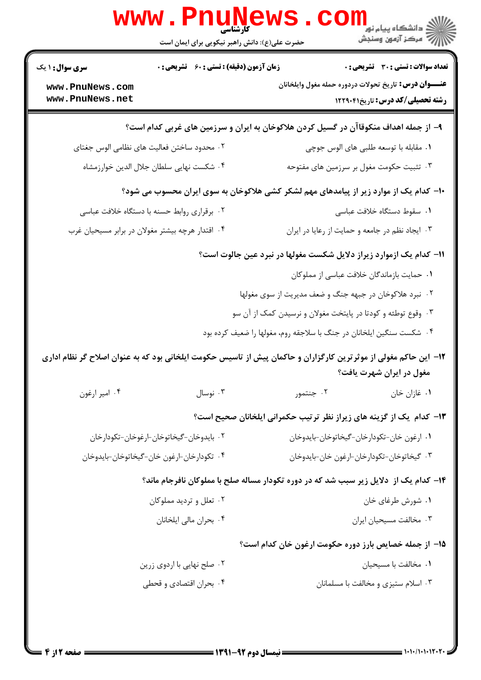|                                                  | www.PnuNews                                   |                                                                                                                                              | الاد دانشگاه پيام نور<br>الاد مرکز آزمون وسنجش |  |
|--------------------------------------------------|-----------------------------------------------|----------------------------------------------------------------------------------------------------------------------------------------------|------------------------------------------------|--|
|                                                  | حضرت علی(ع): دانش راهبر نیکویی برای ایمان است |                                                                                                                                              |                                                |  |
| <b>سری سوال : ۱ یک</b>                           | زمان آزمون (دقیقه) : تستی : 60 ٪ تشریحی : 0   |                                                                                                                                              | تعداد سوالات : تستي : 30 ٪ تشريحي : 0          |  |
| www.PnuNews.com<br>www.PnuNews.net               |                                               | <b>عنـــوان درس:</b> تاریخ تحولات دردوره حمله مغول وایلخانان<br>رشته تحصیلی/کد درس: تاریخ1۲۲۹۰۴۱                                             |                                                |  |
|                                                  |                                               | ۹– از جمله اهداف منکوقاآن در گسیل کردن هلاکوخان به ایران و سرزمین های غربی کدام است؟                                                         |                                                |  |
|                                                  | ۰۲ محدود ساختن فعالیت های نظامی الوس جغتای    | ۰۱ مقابله با توسعه طلبی های الوس جوچی                                                                                                        |                                                |  |
|                                                  | ۰۴ شکست نهایی سلطان جلال الدین خوارزمشاه      |                                                                                                                                              | ۰۳ تثبیت حکومت مغول بر سرزمین های مفتوحه       |  |
|                                                  |                                               | ∙۱- کدام یک از موارد زیر از پیامدهای مهم لشکر کشی هلاکوخان به سوی ایران محسوب می شود؟                                                        |                                                |  |
| ۰۲ برقراری روابط حسنه با دستگاه خلافت عباسی      |                                               | ٠١. سقوط دستگاه خلافت عباسي                                                                                                                  |                                                |  |
| ۰۴ اقتدار هرچه بیشتر مغولان در برابر مسیحیان غرب |                                               | ۰۳ ایجاد نظم در جامعه و حمایت از رعایا در ایران                                                                                              |                                                |  |
|                                                  |                                               | 11– کدام یک ازموارد زیراز دلایل شکست مغولها در نبرد عین جالوت است؟                                                                           |                                                |  |
|                                                  |                                               | ٠١. حمايت بازماندگان خلافت عباسي از مملوكان                                                                                                  |                                                |  |
|                                                  |                                               | ۰۲ نبرد هلاکوخان در جبهه جنگ و ضعف مدیریت از سوی مغولها                                                                                      |                                                |  |
|                                                  |                                               | ۰۳ وقوع توطئه و کودتا در پایتخت مغولان و نرسیدن کمک از آن سو                                                                                 |                                                |  |
|                                                  |                                               | ۰۴ شکست سنگین ایلخانان در جنگ با سلاجقه روم، مغولها را ضعیف کرده بود                                                                         |                                                |  |
|                                                  |                                               | ۱۲– این حاکم مغولی از موثرترین کارگزاران و حاکمان پیش از تاسیس حکومت ایلخانی بود که به عنوان اصلاح گر نظام اداری<br>مغول در ایران شهرت یافت؟ |                                                |  |
| ۰۴ امير ارغون                                    | ۰۳ نوسال                                      | ۰۲ جنتمور                                                                                                                                    | ۰۱ غازان خان                                   |  |
|                                                  |                                               | ۱۳- کدام یک از گزینه های زیراز نظر ترتیب حکمرانی ایلخانان صحیح است؟                                                                          |                                                |  |
| ۰۲ بايدوخان-گيخاتوخان-ارغوخان-تكودارخان          |                                               |                                                                                                                                              | ٠١ ارغون خان-تكودارخان-گيخاتوخان-بايدوخان      |  |
| ۰۴ تكودارخان-ارغون خان-گيخاتوخان-بايدوخان        |                                               | ٠٣ گيخاتوخان-تكودارخان-ارغون خان-بايدوخان                                                                                                    |                                                |  |
|                                                  |                                               | ۱۴- کدام یک از  دلایل زیر سبب شد که در دوره تکودار مساله صلح با مملوکان نافرجام ماند؟                                                        |                                                |  |
| ۰۲ تعلل و تردید مملوکان                          |                                               | ۰۱ شورش طرغای خان                                                                                                                            |                                                |  |
| ۰۴ بحران مالی ایلخانان                           |                                               | ۰۳ مخالفت مسيحيان ايران                                                                                                                      |                                                |  |
|                                                  |                                               | 1۵– از جمله خصایص بارز دوره حکومت ارغون خان کدام است؟                                                                                        |                                                |  |
|                                                  | ۰۲ صلح نهایی با اردوی زرین                    |                                                                                                                                              | ۰۱ مخالفت با مسیحیان                           |  |
| ۰۴ بحران اقتصادي و قحطي                          |                                               | ۰۳ اسلام ستیزی و مخالفت با مسلمانان                                                                                                          |                                                |  |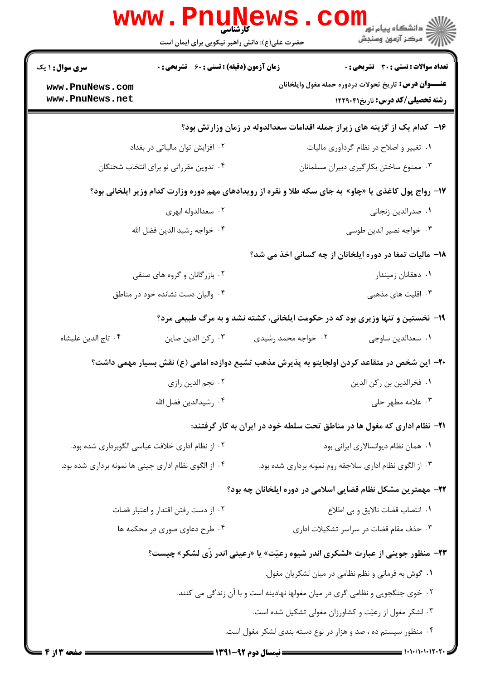|                                                                                                      | www.Pnunews<br>حضرت علی(ع): دانش راهبر نیکویی برای ایمان است |                                                                                              | ر دانشگاه پيام نور <mark>− .</mark><br>ار <i>آ</i> مرکز آزمون وسنجش                                    |  |
|------------------------------------------------------------------------------------------------------|--------------------------------------------------------------|----------------------------------------------------------------------------------------------|--------------------------------------------------------------------------------------------------------|--|
| <b>سری سوال : ۱ یک</b>                                                                               | <b>زمان آزمون (دقیقه) : تستی : 60 ٪ تشریحی : 0</b>           |                                                                                              | <b>تعداد سوالات : تستی : 30 ٪ تشریحی : 0</b>                                                           |  |
| www.PnuNews.com<br>www.PnuNews.net                                                                   |                                                              |                                                                                              | <b>عنـــوان درس:</b> تاریخ تحولات دردوره حمله مغول وایلخانان<br><b>رشته تحصیلی/کد درس:</b> تاریخ۲۲۹۰۴۱ |  |
|                                                                                                      |                                                              | ۱۶– کدام یک از گزینه های زیراز جمله اقدامات سعدالدوله در زمان وزارتش بود؟                    |                                                                                                        |  |
|                                                                                                      | ۰۲ افزایش توان مالیاتی در بغداد                              |                                                                                              | ٠١ تغيير و اصلاح در نظام گردآوري ماليات                                                                |  |
|                                                                                                      | ۰۴ تدوین مقرراتی نو برای انتخاب شحنگان                       |                                                                                              | ۰۳ ممنوع ساختن بکارگیری دبیران مسلمانان                                                                |  |
| ۱۷- رواج پول کاغذی یا «چاو» به جای سکه طلا و نقره از رویدادهای مهم دوره وزارت کدام وزیر ایلخانی بود؟ |                                                              |                                                                                              |                                                                                                        |  |
|                                                                                                      | ۰۲ سعدالدوله ابهری                                           |                                                                                              | ٠١. صدرالدين زنجاني                                                                                    |  |
|                                                                                                      | ۰۴ خواجه رشيد الدين فضل الله                                 |                                                                                              | ۰۳ خواجه نصير الدين طوسي                                                                               |  |
|                                                                                                      |                                                              | ۱۸- مالیات تمغا در دوره ایلخانان از چه کسانی اخذ می شد؟                                      |                                                                                                        |  |
|                                                                                                      | ۲. بازرگانان و گروه های صنفی                                 |                                                                                              | ٠١. دهقانان زميندار                                                                                    |  |
|                                                                                                      | ۰۴ والیان دست نشانده خود در مناطق                            |                                                                                              | ۰۳ اقلیت های مذهبی                                                                                     |  |
|                                                                                                      |                                                              | ۱۹- نخستین و تنها وزیری بود که در حکومت ایلخانی، کشته نشد و به مرگ طبیعی مرد؟                |                                                                                                        |  |
| ۰۴ تاج الدين عليشاه                                                                                  | ٠٣ ركن الدين صاين                                            | ۰۲ خواجه محمد رشیدی                                                                          | ٠١. سعدالدين ساوجي                                                                                     |  |
|                                                                                                      |                                                              | +۲- این شخص در متقاعد کردن اولجایتو به پذیرش مذهب تشیع دوازده امامی (ع) نقش بسیار مهمی داشت؟ |                                                                                                        |  |
|                                                                                                      | ۰۲ نجم الدين رازي                                            |                                                                                              | ٠١. فخرالدين بن ركن الدين                                                                              |  |
|                                                                                                      | ۰۴ رشيدالدين فضل الله                                        |                                                                                              | ۰۳ علامه مطهر حلي                                                                                      |  |
|                                                                                                      |                                                              | ۰۲۱− نظام اداری که مغول ها در مناطق تحت سلطه خود در ایران به کار گرفتند:                     |                                                                                                        |  |
|                                                                                                      | ۰۲ از نظام اداری خلافت عباسی الگوبرداری شده بود.             |                                                                                              | ۰۱ همان نظام دیوانسالاری ایرانی بود                                                                    |  |
|                                                                                                      | ۰۴ از الگوی نظام اداری چینی ها نمونه برداری شده بود.         | ۰۳ از الگوی نظام اداری سلاجقه روم نمونه برداری شده بود.                                      |                                                                                                        |  |
|                                                                                                      |                                                              | ۲۲– مهمترین مشکل نظام قضایی اسلامی در دوره ایلخانان چه بود؟                                  |                                                                                                        |  |
|                                                                                                      | ٠٢ از دست رفتن اقتدار و اعتبار قضات                          | ٠١ انتصاب قضات نالايق وبي اطلاع                                                              |                                                                                                        |  |
|                                                                                                      | ۰۴ طرح دعاوی صوری در محکمه ها                                |                                                                                              | ۰۳ حذف مقام قضات در سراسر تشکیلات اداری                                                                |  |
|                                                                                                      |                                                              | <b>۲۳</b> - منظور جوینی از عبارت «لشکری اندر شیوه رعیّت» یا «رعیتی اندر زّی لشکر» چیست؟      |                                                                                                        |  |
|                                                                                                      |                                                              | ٠١ گوش به فرماني و نظم نظامي در ميان لشكريان مغول.                                           |                                                                                                        |  |
|                                                                                                      |                                                              | ۲. خوی جنگجویی و نظامی گری در میان مغولها نهادینه است و با آن زندگی می کنند.                 |                                                                                                        |  |
|                                                                                                      |                                                              | ۰۳ لشکر مغول از رعیّت و کشاورزان مغولی تشکیل شده است.                                        |                                                                                                        |  |
|                                                                                                      |                                                              | ۰۴ منظور سیستم ده ، صد و هزار در نوع دسته بندی لشکر مغول است.                                |                                                                                                        |  |
| = صفحه 3 از 4 =                                                                                      |                                                              |                                                                                              |                                                                                                        |  |